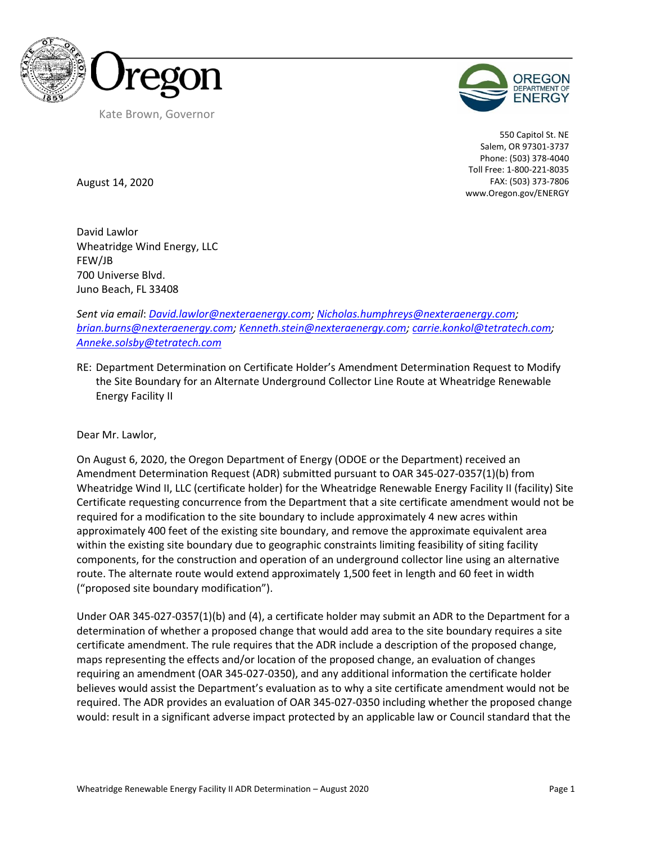



550 Capitol St. NE Salem, OR 97301-3737 Phone: (503) 378-4040 Toll Free: 1-800-221-8035 FAX: (503) 373-7806 www.Oregon.gov/ENERGY

August 14, 2020

David Lawlor Wheatridge Wind Energy, LLC FEW/JB 700 Universe Blvd. Juno Beach, FL 33408

*Sent via email*: *[David.lawlor@nexteraenergy.com;](mailto:David.lawlor@nexteraenergy.com) [Nicholas.humphreys@nexteraenergy.com;](mailto:Nicholas.humphreys@nexteraenergy.com) [brian.burns@nexteraenergy.com;](mailto:brian.burns@nexteraenergy.com) [Kenneth.stein@nexteraenergy.com;](mailto:Kenneth.stein@nexteraenergy.com) [carrie.konkol@tetratech.com;](mailto:carrie.konkol@tetratech.com) [Anneke.solsby@tetratech.com](mailto:Anneke.solsby@tetratech.com)*

RE: Department Determination on Certificate Holder's Amendment Determination Request to Modify the Site Boundary for an Alternate Underground Collector Line Route at Wheatridge Renewable Energy Facility II

Dear Mr. Lawlor,

On August 6, 2020, the Oregon Department of Energy (ODOE or the Department) received an Amendment Determination Request (ADR) submitted pursuant to OAR 345-027-0357(1)(b) from Wheatridge Wind II, LLC (certificate holder) for the Wheatridge Renewable Energy Facility II (facility) Site Certificate requesting concurrence from the Department that a site certificate amendment would not be required for a modification to the site boundary to include approximately 4 new acres within approximately 400 feet of the existing site boundary, and remove the approximate equivalent area within the existing site boundary due to geographic constraints limiting feasibility of siting facility components, for the construction and operation of an underground collector line using an alternative route. The alternate route would extend approximately 1,500 feet in length and 60 feet in width ("proposed site boundary modification").

Under OAR 345-027-0357(1)(b) and (4), a certificate holder may submit an ADR to the Department for a determination of whether a proposed change that would add area to the site boundary requires a site certificate amendment. The rule requires that the ADR include a description of the proposed change, maps representing the effects and/or location of the proposed change, an evaluation of changes requiring an amendment (OAR 345-027-0350), and any additional information the certificate holder believes would assist the Department's evaluation as to why a site certificate amendment would not be required. The ADR provides an evaluation of OAR 345-027-0350 including whether the proposed change would: result in a significant adverse impact protected by an applicable law or Council standard that the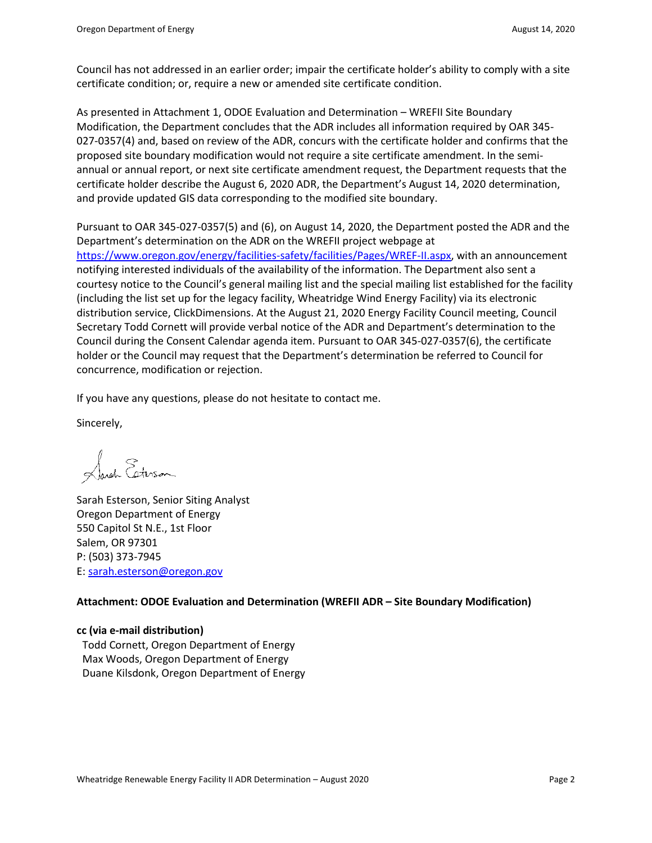Council has not addressed in an earlier order; impair the certificate holder's ability to comply with a site certificate condition; or, require a new or amended site certificate condition.

As presented in Attachment 1, ODOE Evaluation and Determination – WREFII Site Boundary Modification, the Department concludes that the ADR includes all information required by OAR 345- 027-0357(4) and, based on review of the ADR, concurs with the certificate holder and confirms that the proposed site boundary modification would not require a site certificate amendment. In the semiannual or annual report, or next site certificate amendment request, the Department requests that the certificate holder describe the August 6, 2020 ADR, the Department's August 14, 2020 determination, and provide updated GIS data corresponding to the modified site boundary.

Pursuant to OAR 345-027-0357(5) and (6), on August 14, 2020, the Department posted the ADR and the Department's determination on the ADR on the WREFII project webpage at [https://www.oregon.gov/energy/facilities-safety/facilities/Pages/WREF-II.aspx,](https://www.oregon.gov/energy/facilities-safety/facilities/Pages/WREF-II.aspx) with an announcement notifying interested individuals of the availability of the information. The Department also sent a courtesy notice to the Council's general mailing list and the special mailing list established for the facility (including the list set up for the legacy facility, Wheatridge Wind Energy Facility) via its electronic distribution service, ClickDimensions. At the August 21, 2020 Energy Facility Council meeting, Council Secretary Todd Cornett will provide verbal notice of the ADR and Department's determination to the Council during the Consent Calendar agenda item. Pursuant to OAR 345-027-0357(6), the certificate holder or the Council may request that the Department's determination be referred to Council for concurrence, modification or rejection.

If you have any questions, please do not hesitate to contact me.

Sincerely,

Sarah Esterson

Sarah Esterson, Senior Siting Analyst Oregon Department of Energy 550 Capitol St N.E., 1st Floor Salem, OR 97301 P: (503) 373-7945 E: [sarah.esterson@oregon.gov](mailto:sarah.esterson@oregon.gov)

#### **Attachment: ODOE Evaluation and Determination (WREFII ADR – Site Boundary Modification)**

## **cc (via e-mail distribution)**

Todd Cornett, Oregon Department of Energy Max Woods, Oregon Department of Energy Duane Kilsdonk, Oregon Department of Energy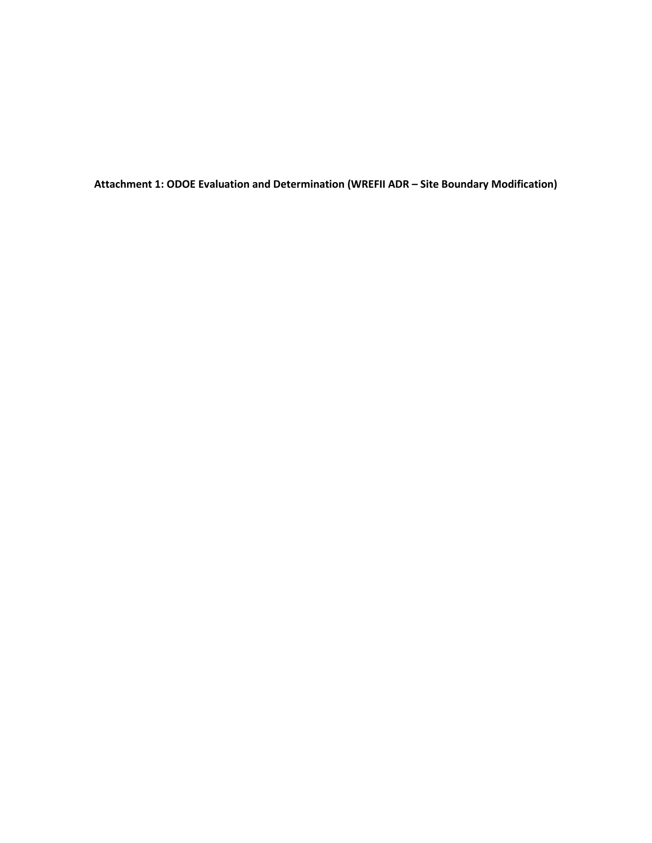**Attachment 1: ODOE Evaluation and Determination (WREFII ADR – Site Boundary Modification)**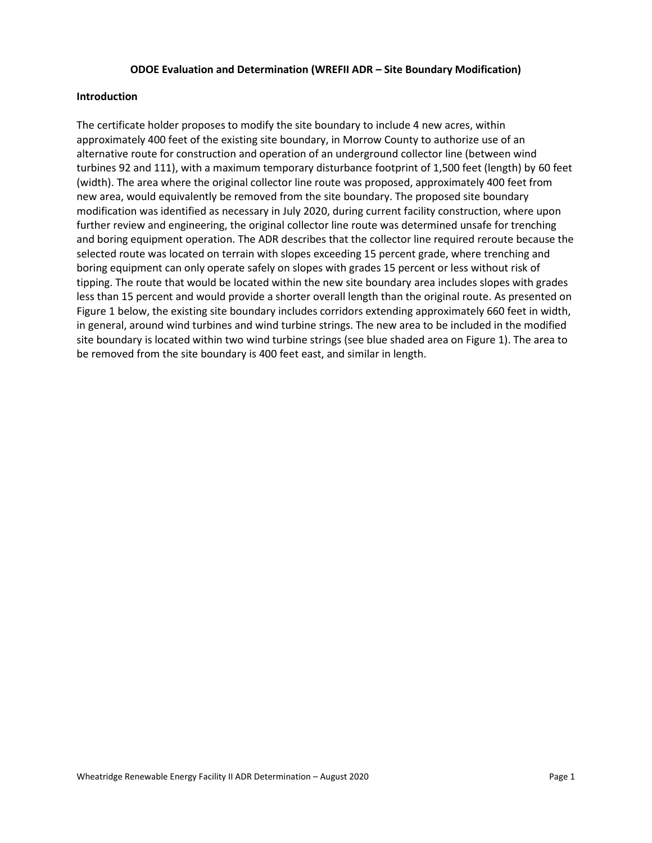#### **ODOE Evaluation and Determination (WREFII ADR – Site Boundary Modification)**

#### **Introduction**

The certificate holder proposes to modify the site boundary to include 4 new acres, within approximately 400 feet of the existing site boundary, in Morrow County to authorize use of an alternative route for construction and operation of an underground collector line (between wind turbines 92 and 111), with a maximum temporary disturbance footprint of 1,500 feet (length) by 60 feet (width). The area where the original collector line route was proposed, approximately 400 feet from new area, would equivalently be removed from the site boundary. The proposed site boundary modification was identified as necessary in July 2020, during current facility construction, where upon further review and engineering, the original collector line route was determined unsafe for trenching and boring equipment operation. The ADR describes that the collector line required reroute because the selected route was located on terrain with slopes exceeding 15 percent grade, where trenching and boring equipment can only operate safely on slopes with grades 15 percent or less without risk of tipping. The route that would be located within the new site boundary area includes slopes with grades less than 15 percent and would provide a shorter overall length than the original route. As presented on Figure 1 below, the existing site boundary includes corridors extending approximately 660 feet in width, in general, around wind turbines and wind turbine strings. The new area to be included in the modified site boundary is located within two wind turbine strings (see blue shaded area on Figure 1). The area to be removed from the site boundary is 400 feet east, and similar in length.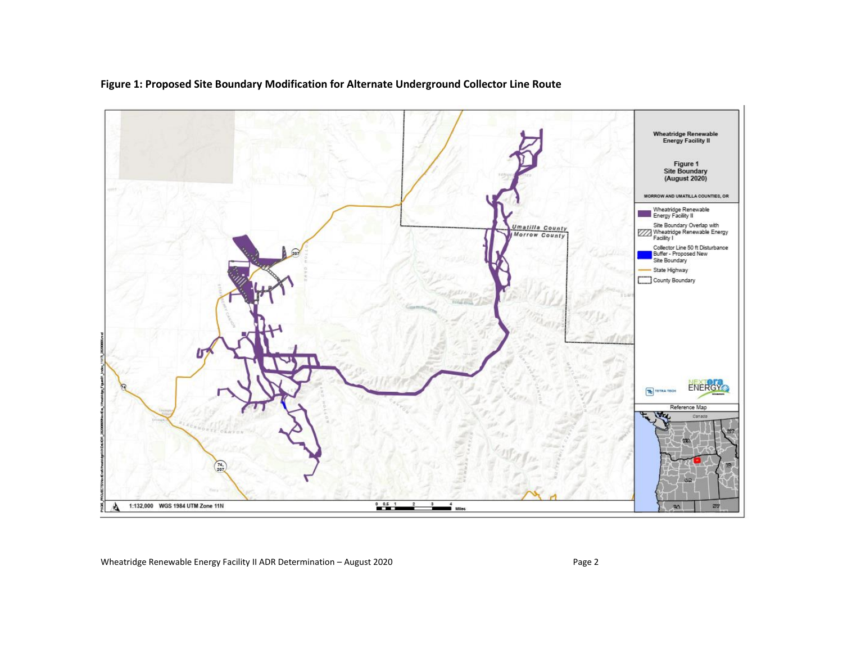

## **Figure 1: Proposed Site Boundary Modification for Alternate Underground Collector Line Route**

Wheatridge Renewable Energy Facility II ADR Determination - August 2020 Page 2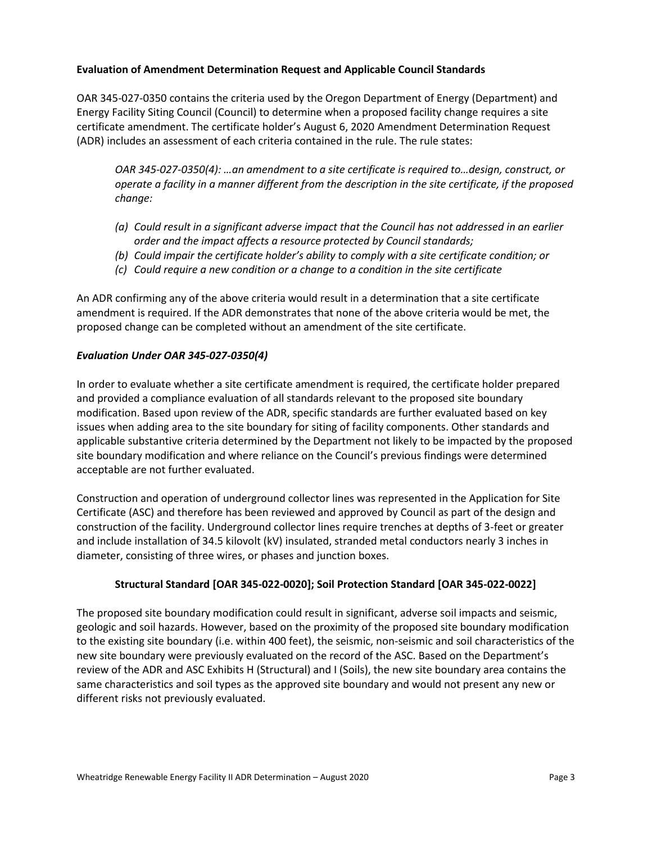### **Evaluation of Amendment Determination Request and Applicable Council Standards**

OAR 345-027-0350 contains the criteria used by the Oregon Department of Energy (Department) and Energy Facility Siting Council (Council) to determine when a proposed facility change requires a site certificate amendment. The certificate holder's August 6, 2020 Amendment Determination Request (ADR) includes an assessment of each criteria contained in the rule. The rule states:

*OAR 345-027-0350(4): …an amendment to a site certificate is required to…design, construct, or operate a facility in a manner different from the description in the site certificate, if the proposed change:*

- *(a) Could result in a significant adverse impact that the Council has not addressed in an earlier order and the impact affects a resource protected by Council standards;*
- *(b) Could impair the certificate holder's ability to comply with a site certificate condition; or*
- *(c) Could require a new condition or a change to a condition in the site certificate*

An ADR confirming any of the above criteria would result in a determination that a site certificate amendment is required. If the ADR demonstrates that none of the above criteria would be met, the proposed change can be completed without an amendment of the site certificate.

## *Evaluation Under OAR 345-027-0350(4)*

In order to evaluate whether a site certificate amendment is required, the certificate holder prepared and provided a compliance evaluation of all standards relevant to the proposed site boundary modification. Based upon review of the ADR, specific standards are further evaluated based on key issues when adding area to the site boundary for siting of facility components. Other standards and applicable substantive criteria determined by the Department not likely to be impacted by the proposed site boundary modification and where reliance on the Council's previous findings were determined acceptable are not further evaluated.

Construction and operation of underground collector lines was represented in the Application for Site Certificate (ASC) and therefore has been reviewed and approved by Council as part of the design and construction of the facility. Underground collector lines require trenches at depths of 3-feet or greater and include installation of 34.5 kilovolt (kV) insulated, stranded metal conductors nearly 3 inches in diameter, consisting of three wires, or phases and junction boxes.

## **Structural Standard [OAR 345-022-0020]; Soil Protection Standard [OAR 345-022-0022]**

The proposed site boundary modification could result in significant, adverse soil impacts and seismic, geologic and soil hazards. However, based on the proximity of the proposed site boundary modification to the existing site boundary (i.e. within 400 feet), the seismic, non-seismic and soil characteristics of the new site boundary were previously evaluated on the record of the ASC. Based on the Department's review of the ADR and ASC Exhibits H (Structural) and I (Soils), the new site boundary area contains the same characteristics and soil types as the approved site boundary and would not present any new or different risks not previously evaluated.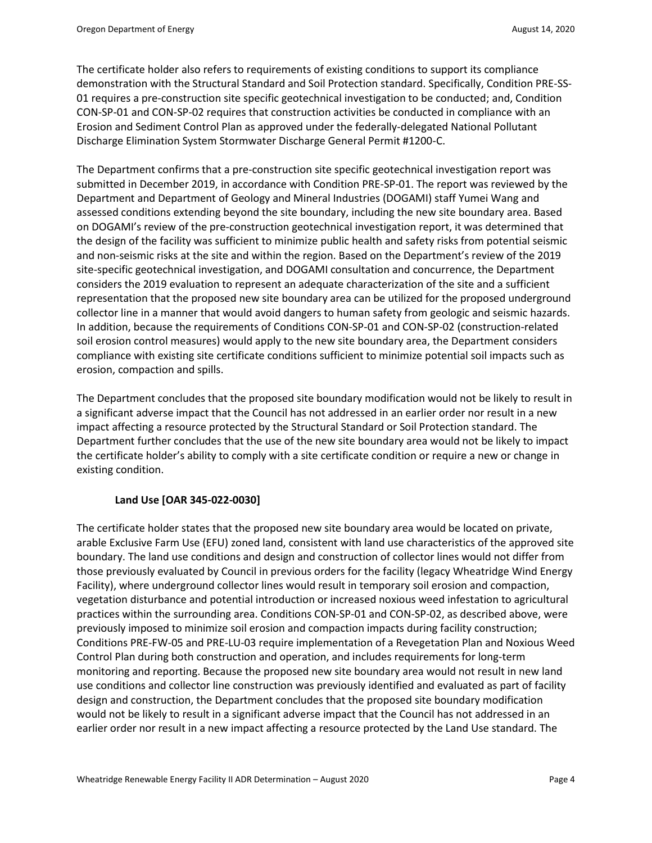The certificate holder also refers to requirements of existing conditions to support its compliance demonstration with the Structural Standard and Soil Protection standard. Specifically, Condition PRE-SS-01 requires a pre-construction site specific geotechnical investigation to be conducted; and, Condition CON-SP-01 and CON-SP-02 requires that construction activities be conducted in compliance with an Erosion and Sediment Control Plan as approved under the federally-delegated National Pollutant Discharge Elimination System Stormwater Discharge General Permit #1200-C.

The Department confirms that a pre-construction site specific geotechnical investigation report was submitted in December 2019, in accordance with Condition PRE-SP-01. The report was reviewed by the Department and Department of Geology and Mineral Industries (DOGAMI) staff Yumei Wang and assessed conditions extending beyond the site boundary, including the new site boundary area. Based on DOGAMI's review of the pre-construction geotechnical investigation report, it was determined that the design of the facility was sufficient to minimize public health and safety risks from potential seismic and non-seismic risks at the site and within the region. Based on the Department's review of the 2019 site-specific geotechnical investigation, and DOGAMI consultation and concurrence, the Department considers the 2019 evaluation to represent an adequate characterization of the site and a sufficient representation that the proposed new site boundary area can be utilized for the proposed underground collector line in a manner that would avoid dangers to human safety from geologic and seismic hazards. In addition, because the requirements of Conditions CON-SP-01 and CON-SP-02 (construction-related soil erosion control measures) would apply to the new site boundary area, the Department considers compliance with existing site certificate conditions sufficient to minimize potential soil impacts such as erosion, compaction and spills.

The Department concludes that the proposed site boundary modification would not be likely to result in a significant adverse impact that the Council has not addressed in an earlier order nor result in a new impact affecting a resource protected by the Structural Standard or Soil Protection standard. The Department further concludes that the use of the new site boundary area would not be likely to impact the certificate holder's ability to comply with a site certificate condition or require a new or change in existing condition.

#### **Land Use [OAR 345-022-0030]**

The certificate holder states that the proposed new site boundary area would be located on private, arable Exclusive Farm Use (EFU) zoned land, consistent with land use characteristics of the approved site boundary. The land use conditions and design and construction of collector lines would not differ from those previously evaluated by Council in previous orders for the facility (legacy Wheatridge Wind Energy Facility), where underground collector lines would result in temporary soil erosion and compaction, vegetation disturbance and potential introduction or increased noxious weed infestation to agricultural practices within the surrounding area. Conditions CON-SP-01 and CON-SP-02, as described above, were previously imposed to minimize soil erosion and compaction impacts during facility construction; Conditions PRE-FW-05 and PRE-LU-03 require implementation of a Revegetation Plan and Noxious Weed Control Plan during both construction and operation, and includes requirements for long-term monitoring and reporting. Because the proposed new site boundary area would not result in new land use conditions and collector line construction was previously identified and evaluated as part of facility design and construction, the Department concludes that the proposed site boundary modification would not be likely to result in a significant adverse impact that the Council has not addressed in an earlier order nor result in a new impact affecting a resource protected by the Land Use standard. The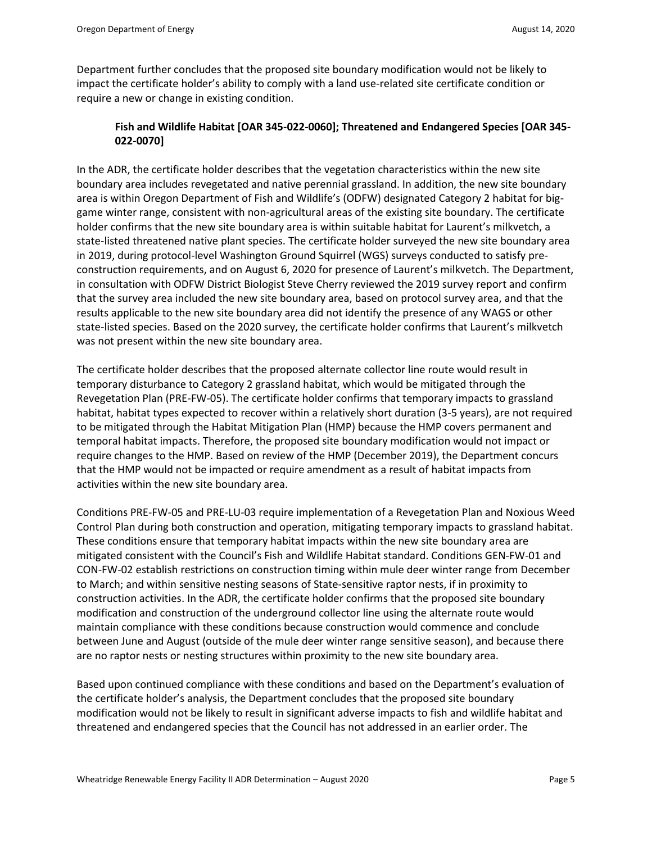Department further concludes that the proposed site boundary modification would not be likely to impact the certificate holder's ability to comply with a land use-related site certificate condition or require a new or change in existing condition.

# **Fish and Wildlife Habitat [OAR 345-022-0060]; Threatened and Endangered Species [OAR 345- 022-0070]**

In the ADR, the certificate holder describes that the vegetation characteristics within the new site boundary area includes revegetated and native perennial grassland. In addition, the new site boundary area is within Oregon Department of Fish and Wildlife's (ODFW) designated Category 2 habitat for biggame winter range, consistent with non-agricultural areas of the existing site boundary. The certificate holder confirms that the new site boundary area is within suitable habitat for Laurent's milkvetch, a state-listed threatened native plant species. The certificate holder surveyed the new site boundary area in 2019, during protocol-level Washington Ground Squirrel (WGS) surveys conducted to satisfy preconstruction requirements, and on August 6, 2020 for presence of Laurent's milkvetch. The Department, in consultation with ODFW District Biologist Steve Cherry reviewed the 2019 survey report and confirm that the survey area included the new site boundary area, based on protocol survey area, and that the results applicable to the new site boundary area did not identify the presence of any WAGS or other state-listed species. Based on the 2020 survey, the certificate holder confirms that Laurent's milkvetch was not present within the new site boundary area.

The certificate holder describes that the proposed alternate collector line route would result in temporary disturbance to Category 2 grassland habitat, which would be mitigated through the Revegetation Plan (PRE-FW-05). The certificate holder confirms that temporary impacts to grassland habitat, habitat types expected to recover within a relatively short duration (3-5 years), are not required to be mitigated through the Habitat Mitigation Plan (HMP) because the HMP covers permanent and temporal habitat impacts. Therefore, the proposed site boundary modification would not impact or require changes to the HMP. Based on review of the HMP (December 2019), the Department concurs that the HMP would not be impacted or require amendment as a result of habitat impacts from activities within the new site boundary area.

Conditions PRE-FW-05 and PRE-LU-03 require implementation of a Revegetation Plan and Noxious Weed Control Plan during both construction and operation, mitigating temporary impacts to grassland habitat. These conditions ensure that temporary habitat impacts within the new site boundary area are mitigated consistent with the Council's Fish and Wildlife Habitat standard. Conditions GEN-FW-01 and CON-FW-02 establish restrictions on construction timing within mule deer winter range from December to March; and within sensitive nesting seasons of State-sensitive raptor nests, if in proximity to construction activities. In the ADR, the certificate holder confirms that the proposed site boundary modification and construction of the underground collector line using the alternate route would maintain compliance with these conditions because construction would commence and conclude between June and August (outside of the mule deer winter range sensitive season), and because there are no raptor nests or nesting structures within proximity to the new site boundary area.

Based upon continued compliance with these conditions and based on the Department's evaluation of the certificate holder's analysis, the Department concludes that the proposed site boundary modification would not be likely to result in significant adverse impacts to fish and wildlife habitat and threatened and endangered species that the Council has not addressed in an earlier order. The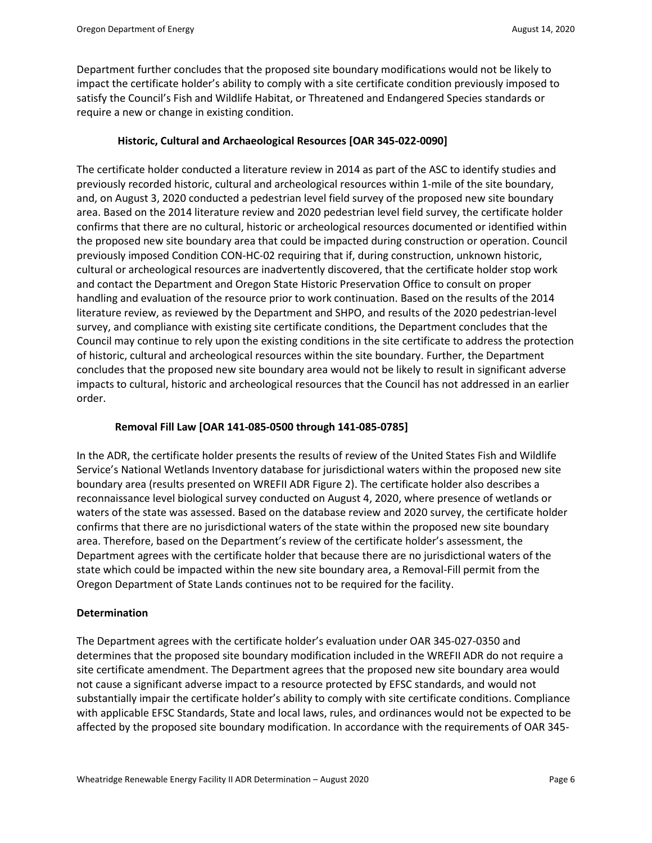Department further concludes that the proposed site boundary modifications would not be likely to impact the certificate holder's ability to comply with a site certificate condition previously imposed to satisfy the Council's Fish and Wildlife Habitat, or Threatened and Endangered Species standards or require a new or change in existing condition.

### **Historic, Cultural and Archaeological Resources [OAR 345-022-0090]**

The certificate holder conducted a literature review in 2014 as part of the ASC to identify studies and previously recorded historic, cultural and archeological resources within 1-mile of the site boundary, and, on August 3, 2020 conducted a pedestrian level field survey of the proposed new site boundary area. Based on the 2014 literature review and 2020 pedestrian level field survey, the certificate holder confirms that there are no cultural, historic or archeological resources documented or identified within the proposed new site boundary area that could be impacted during construction or operation. Council previously imposed Condition CON-HC-02 requiring that if, during construction, unknown historic, cultural or archeological resources are inadvertently discovered, that the certificate holder stop work and contact the Department and Oregon State Historic Preservation Office to consult on proper handling and evaluation of the resource prior to work continuation. Based on the results of the 2014 literature review, as reviewed by the Department and SHPO, and results of the 2020 pedestrian-level survey, and compliance with existing site certificate conditions, the Department concludes that the Council may continue to rely upon the existing conditions in the site certificate to address the protection of historic, cultural and archeological resources within the site boundary. Further, the Department concludes that the proposed new site boundary area would not be likely to result in significant adverse impacts to cultural, historic and archeological resources that the Council has not addressed in an earlier order.

#### **Removal Fill Law [OAR 141-085-0500 through 141-085-0785]**

In the ADR, the certificate holder presents the results of review of the United States Fish and Wildlife Service's National Wetlands Inventory database for jurisdictional waters within the proposed new site boundary area (results presented on WREFII ADR Figure 2). The certificate holder also describes a reconnaissance level biological survey conducted on August 4, 2020, where presence of wetlands or waters of the state was assessed. Based on the database review and 2020 survey, the certificate holder confirms that there are no jurisdictional waters of the state within the proposed new site boundary area. Therefore, based on the Department's review of the certificate holder's assessment, the Department agrees with the certificate holder that because there are no jurisdictional waters of the state which could be impacted within the new site boundary area, a Removal-Fill permit from the Oregon Department of State Lands continues not to be required for the facility.

#### **Determination**

The Department agrees with the certificate holder's evaluation under OAR 345‐027‐0350 and determines that the proposed site boundary modification included in the WREFII ADR do not require a site certificate amendment. The Department agrees that the proposed new site boundary area would not cause a significant adverse impact to a resource protected by EFSC standards, and would not substantially impair the certificate holder's ability to comply with site certificate conditions. Compliance with applicable EFSC Standards, State and local laws, rules, and ordinances would not be expected to be affected by the proposed site boundary modification. In accordance with the requirements of OAR 345‐